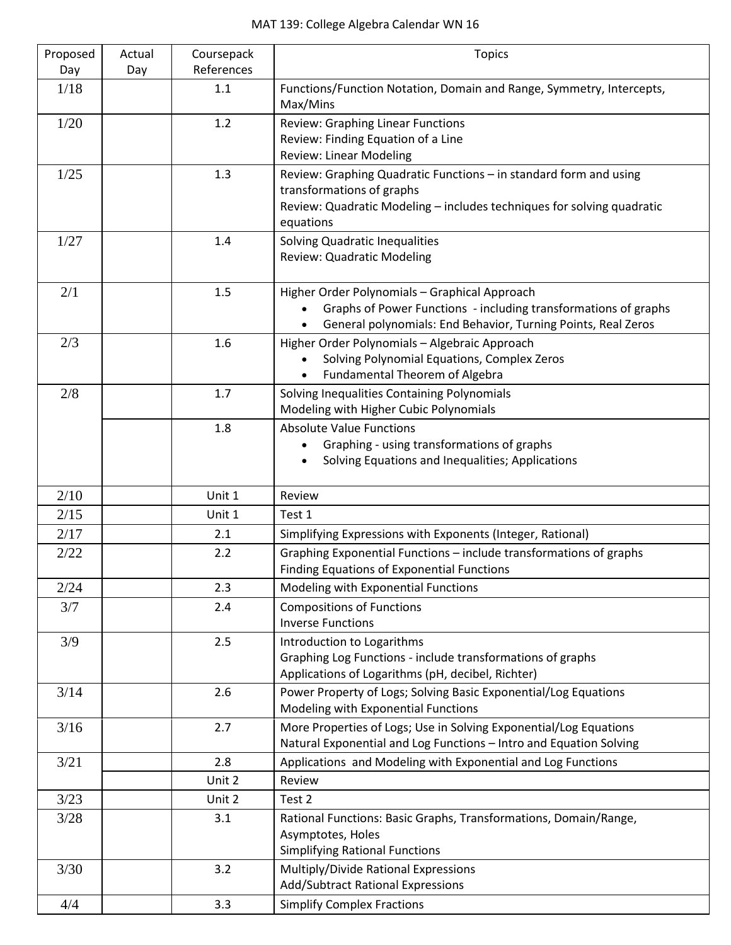| Proposed | Actual | Coursepack | <b>Topics</b>                                                                                                                    |
|----------|--------|------------|----------------------------------------------------------------------------------------------------------------------------------|
| Day      | Day    | References |                                                                                                                                  |
| 1/18     |        | 1.1        | Functions/Function Notation, Domain and Range, Symmetry, Intercepts,<br>Max/Mins                                                 |
| 1/20     |        | 1.2        | <b>Review: Graphing Linear Functions</b>                                                                                         |
|          |        |            | Review: Finding Equation of a Line                                                                                               |
|          |        |            | <b>Review: Linear Modeling</b>                                                                                                   |
| 1/25     |        | 1.3        | Review: Graphing Quadratic Functions - in standard form and using                                                                |
|          |        |            | transformations of graphs<br>Review: Quadratic Modeling - includes techniques for solving quadratic                              |
|          |        |            | equations                                                                                                                        |
| 1/27     |        | 1.4        | <b>Solving Quadratic Inequalities</b>                                                                                            |
|          |        |            | <b>Review: Quadratic Modeling</b>                                                                                                |
|          |        |            |                                                                                                                                  |
| 2/1      |        | 1.5        | Higher Order Polynomials - Graphical Approach                                                                                    |
|          |        |            | Graphs of Power Functions - including transformations of graphs<br>General polynomials: End Behavior, Turning Points, Real Zeros |
| 2/3      |        | 1.6        | Higher Order Polynomials - Algebraic Approach                                                                                    |
|          |        |            | Solving Polynomial Equations, Complex Zeros                                                                                      |
|          |        |            | Fundamental Theorem of Algebra                                                                                                   |
| 2/8      |        | 1.7        | Solving Inequalities Containing Polynomials                                                                                      |
|          |        |            | Modeling with Higher Cubic Polynomials                                                                                           |
|          |        | 1.8        | <b>Absolute Value Functions</b>                                                                                                  |
|          |        |            | Graphing - using transformations of graphs                                                                                       |
|          |        |            | Solving Equations and Inequalities; Applications                                                                                 |
| 2/10     |        | Unit 1     | Review                                                                                                                           |
| 2/15     |        | Unit 1     | Test 1                                                                                                                           |
| 2/17     |        | 2.1        | Simplifying Expressions with Exponents (Integer, Rational)                                                                       |
| 2/22     |        | 2.2        | Graphing Exponential Functions - include transformations of graphs                                                               |
|          |        |            | <b>Finding Equations of Exponential Functions</b>                                                                                |
| 2/24     |        | 2.3        | Modeling with Exponential Functions                                                                                              |
| 3/7      |        | 2.4        | <b>Compositions of Functions</b>                                                                                                 |
|          |        |            | <b>Inverse Functions</b>                                                                                                         |
| 3/9      |        | 2.5        | Introduction to Logarithms<br>Graphing Log Functions - include transformations of graphs                                         |
|          |        |            | Applications of Logarithms (pH, decibel, Richter)                                                                                |
| 3/14     |        | 2.6        | Power Property of Logs; Solving Basic Exponential/Log Equations                                                                  |
|          |        |            | Modeling with Exponential Functions                                                                                              |
| 3/16     |        | 2.7        | More Properties of Logs; Use in Solving Exponential/Log Equations                                                                |
|          |        |            | Natural Exponential and Log Functions - Intro and Equation Solving                                                               |
| 3/21     |        | 2.8        | Applications and Modeling with Exponential and Log Functions                                                                     |
|          |        | Unit 2     | Review                                                                                                                           |
| 3/23     |        | Unit 2     | Test 2                                                                                                                           |
| 3/28     |        | 3.1        | Rational Functions: Basic Graphs, Transformations, Domain/Range,                                                                 |
|          |        |            | Asymptotes, Holes<br><b>Simplifying Rational Functions</b>                                                                       |
| 3/30     |        | 3.2        | Multiply/Divide Rational Expressions                                                                                             |
|          |        |            | Add/Subtract Rational Expressions                                                                                                |
| 4/4      |        | 3.3        | <b>Simplify Complex Fractions</b>                                                                                                |